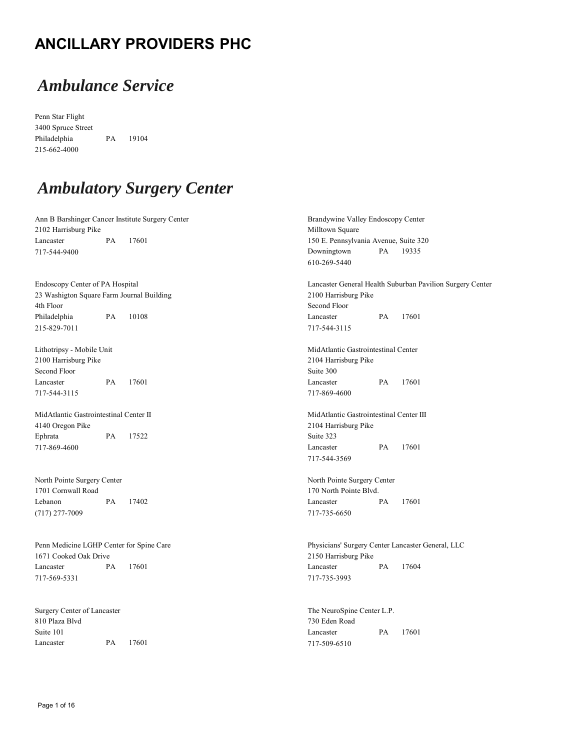#### **ANCILLARY PROVIDERS PHC**

## *Ambulance Service*

Penn Star Flight 3400 Spruce Street Philadelphia PA 19104 215-662-4000

# *Ambulatory Surgery Center*

| Ann B Barshinger Cancer Institute Surgery Center<br>2102 Harrisburg Pike |    |                                         | Brandywine Valley Endoscopy Center<br>Milltown Square |           |                                                           |  |
|--------------------------------------------------------------------------|----|-----------------------------------------|-------------------------------------------------------|-----------|-----------------------------------------------------------|--|
| Lancaster<br>PA<br>17601                                                 |    |                                         | 150 E. Pennsylvania Avenue, Suite 320                 |           |                                                           |  |
| 717-544-9400                                                             |    |                                         | Downingtown                                           | PA        | 19335                                                     |  |
|                                                                          |    |                                         | 610-269-5440                                          |           |                                                           |  |
|                                                                          |    |                                         |                                                       |           |                                                           |  |
| Endoscopy Center of PA Hospital                                          |    |                                         |                                                       |           | Lancaster General Health Suburban Pavilion Surgery Center |  |
| 23 Washigton Square Farm Journal Building                                |    |                                         | 2100 Harrisburg Pike                                  |           |                                                           |  |
| 4th Floor                                                                |    |                                         | Second Floor                                          |           |                                                           |  |
| Philadelphia                                                             | PA | 10108                                   | Lancaster                                             | <b>PA</b> | 17601                                                     |  |
| 215-829-7011                                                             |    |                                         | 717-544-3115                                          |           |                                                           |  |
| Lithotripsy - Mobile Unit                                                |    |                                         | MidAtlantic Gastrointestinal Center                   |           |                                                           |  |
| 2100 Harrisburg Pike                                                     |    |                                         | 2104 Harrisburg Pike                                  |           |                                                           |  |
| Second Floor                                                             |    |                                         | Suite 300                                             |           |                                                           |  |
| Lancaster                                                                | PA | 17601                                   | Lancaster                                             | PA        | 17601                                                     |  |
| 717-544-3115                                                             |    |                                         | 717-869-4600                                          |           |                                                           |  |
| MidAtlantic Gastrointestinal Center II                                   |    | MidAtlantic Gastrointestinal Center III |                                                       |           |                                                           |  |
| 4140 Oregon Pike                                                         |    |                                         | 2104 Harrisburg Pike                                  |           |                                                           |  |
| Ephrata                                                                  | PA | 17522                                   | Suite 323                                             |           |                                                           |  |
| 717-869-4600                                                             |    |                                         | Lancaster                                             | PA        | 17601                                                     |  |
|                                                                          |    |                                         | 717-544-3569                                          |           |                                                           |  |
| North Pointe Surgery Center                                              |    |                                         | North Pointe Surgery Center                           |           |                                                           |  |
| 1701 Cornwall Road                                                       |    |                                         | 170 North Pointe Blvd.                                |           |                                                           |  |
| Lebanon                                                                  | PA | 17402                                   | Lancaster                                             | PA        | 17601                                                     |  |
| $(717)$ 277-7009                                                         |    |                                         | 717-735-6650                                          |           |                                                           |  |
|                                                                          |    |                                         |                                                       |           | Physicians' Surgery Center Lancaster General, LLC         |  |
| Penn Medicine LGHP Center for Spine Care<br>1671 Cooked Oak Drive        |    |                                         | 2150 Harrisburg Pike                                  |           |                                                           |  |
| Lancaster                                                                | PA | 17601                                   | Lancaster                                             | PA        | 17604                                                     |  |
| 717-569-5331                                                             |    |                                         | 717-735-3993                                          |           |                                                           |  |
|                                                                          |    |                                         |                                                       |           |                                                           |  |
| Surgery Center of Lancaster                                              |    | The NeuroSpine Center L.P.              |                                                       |           |                                                           |  |
| 810 Plaza Blvd                                                           |    |                                         | 730 Eden Road                                         |           |                                                           |  |
| Suite 101                                                                |    |                                         | Lancaster                                             | PA.       | 17601                                                     |  |

717-509-6510

Suite 101 Lancaster PA 17601

Page 1 of 16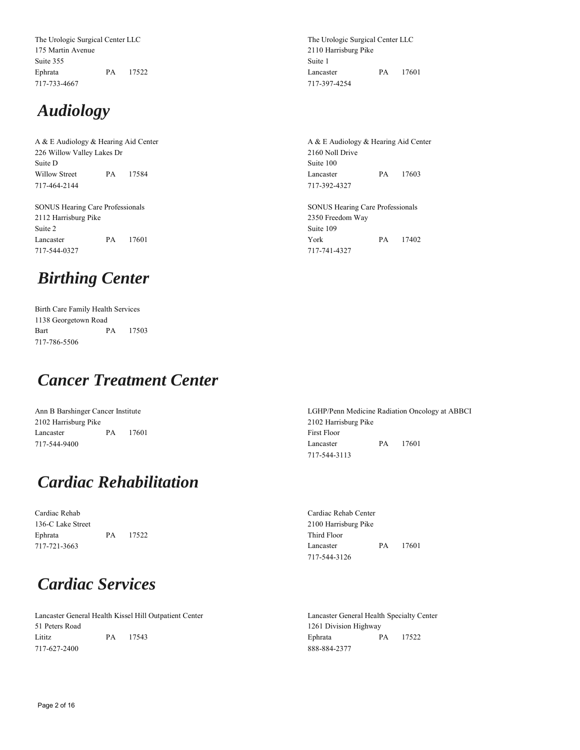The Urologic Surgical Center LLC 175 Martin Avenue Suite 355 Ephrata PA 17522 717-733-4667

## *Audiology*

A & E Audiology & Hearing Aid Center 226 Willow Valley Lakes Dr Suite D Willow Street PA 17584 717-464-2144

SONUS Hearing Care Professionals 2112 Harrisburg Pike Suite 2 Lancaster PA 17601 717-544-0327

# *Birthing Center*

Birth Care Family Health Services 1138 Georgetown Road Bart PA 17503 717-786-5506

## *Cancer Treatment Center*

Ann B Barshinger Cancer Institute 2102 Harrisburg Pike Lancaster PA 17601 717-544-9400

## *Cardiac Rehabilitation*

Cardiac Rehab 136-C Lake Street Ephrata PA 17522 717-721-3663

#### *Cardiac Services*

Lancaster General Health Kissel Hill Outpatient Center 51 Peters Road Lititz PA 17543 717-627-2400

The Urologic Surgical Center LLC 2110 Harrisburg Pike Suite 1 Lancaster PA 17601 717-397-4254

A & E Audiology & Hearing Aid Center 2160 Noll Drive Suite 100 Lancaster PA 17603 717-392-4327

SONUS Hearing Care Professionals 2350 Freedom Way Suite 109 York PA 17402 717-741-4327

LGHP/Penn Medicine Radiation Oncology at ABBCI 2102 Harrisburg Pike First Floor Lancaster PA 17601 717-544-3113

Cardiac Rehab Center 2100 Harrisburg Pike Third Floor Lancaster PA 17601 717-544-3126

Lancaster General Health Specialty Center 1261 Division Highway Ephrata PA 17522 888-884-2377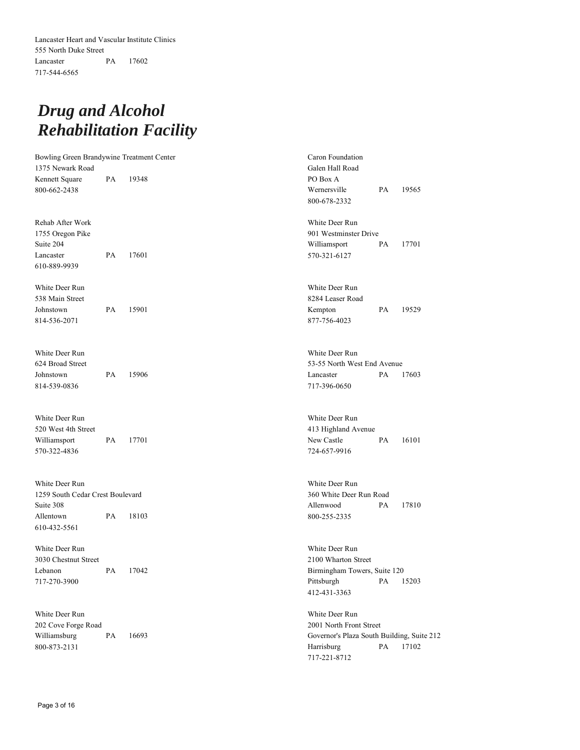## *Drug and Alcohol Rehabilitation Facility*

| Bowling Green Brandywine Treatment Center |    |       | Caron Foundation                           |    |       |  |
|-------------------------------------------|----|-------|--------------------------------------------|----|-------|--|
| 1375 Newark Road                          |    |       | Galen Hall Road                            |    |       |  |
| Kennett Square                            | PA | 19348 | PO Box A                                   |    |       |  |
| 800-662-2438                              |    |       | Wernersville                               | PA | 19565 |  |
|                                           |    |       | 800-678-2332                               |    |       |  |
|                                           |    |       |                                            |    |       |  |
| Rehab After Work                          |    |       | White Deer Run                             |    |       |  |
| 1755 Oregon Pike                          |    |       | 901 Westminster Drive                      |    |       |  |
| Suite 204                                 |    |       | Williamsport                               | PA | 17701 |  |
| Lancaster                                 | PA | 17601 | 570-321-6127                               |    |       |  |
| 610-889-9939                              |    |       |                                            |    |       |  |
|                                           |    |       |                                            |    |       |  |
| White Deer Run                            |    |       | White Deer Run                             |    |       |  |
| 538 Main Street                           |    |       | 8284 Leaser Road                           |    |       |  |
| Johnstown                                 | PA | 15901 | Kempton                                    | PA | 19529 |  |
| 814-536-2071                              |    |       | 877-756-4023                               |    |       |  |
|                                           |    |       |                                            |    |       |  |
|                                           |    |       |                                            |    |       |  |
| White Deer Run                            |    |       | White Deer Run                             |    |       |  |
| 624 Broad Street                          |    |       | 53-55 North West End Avenue                |    |       |  |
| Johnstown                                 | PA | 15906 | Lancaster                                  | PA | 17603 |  |
| 814-539-0836                              |    |       | 717-396-0650                               |    |       |  |
|                                           |    |       |                                            |    |       |  |
|                                           |    |       |                                            |    |       |  |
| White Deer Run                            |    |       | White Deer Run                             |    |       |  |
| 520 West 4th Street                       |    |       | 413 Highland Avenue                        |    |       |  |
| Williamsport                              | PA | 17701 | New Castle                                 | PA | 16101 |  |
| 570-322-4836                              |    |       | 724-657-9916                               |    |       |  |
|                                           |    |       |                                            |    |       |  |
| White Deer Run                            |    |       | White Deer Run                             |    |       |  |
| 1259 South Cedar Crest Boulevard          |    |       | 360 White Deer Run Road                    |    |       |  |
| Suite 308                                 |    |       | Allenwood                                  | PA | 17810 |  |
| Allentown                                 | PA | 18103 | 800-255-2335                               |    |       |  |
| 610-432-5561                              |    |       |                                            |    |       |  |
|                                           |    |       |                                            |    |       |  |
| White Deer Run                            |    |       | White Deer Run                             |    |       |  |
| 3030 Chestnut Street                      |    |       | 2100 Wharton Street                        |    |       |  |
| Lebanon                                   | PA | 17042 | Birmingham Towers, Suite 120               |    |       |  |
| 717-270-3900                              |    |       | Pittsburgh                                 | PA | 15203 |  |
|                                           |    |       | 412-431-3363                               |    |       |  |
|                                           |    |       |                                            |    |       |  |
| White Deer Run                            |    |       | White Deer Run                             |    |       |  |
| 202 Cove Forge Road                       |    |       | 2001 North Front Street                    |    |       |  |
| Williamsburg                              | PA | 16693 | Governor's Plaza South Building, Suite 212 |    |       |  |
| 800-873-2131                              |    |       | Harrisburg                                 | PA | 17102 |  |
|                                           |    |       | 717-221-8712                               |    |       |  |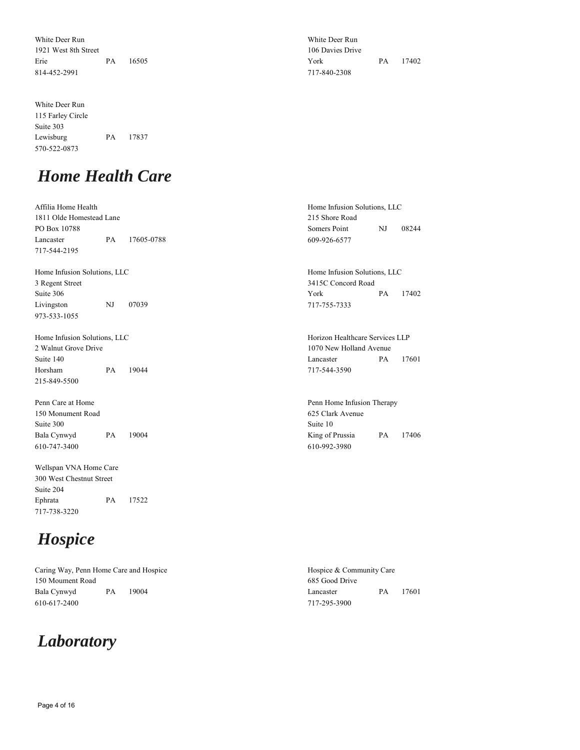White Deer Run 1921 West 8th Street Erie PA 16505 814-452-2991

White Deer Run 115 Farley Circle Suite 303 Lewisburg PA 17837 570-522-0873

## *Home Health Care*

Affilia Home Health 1811 Olde Homestead Lane PO Box 10788 Lancaster PA 17605-0788 717-544-2195 Home Infusion Solutions, LLC 215 Shore Road Somers Point NJ 08244 609-926-6577 Home Infusion Solutions, LLC 3 Regent Street Suite 306 Livingston NJ 07039 973-533-1055 Home Infusion Solutions, LLC 3415C Concord Road York PA 17402 717-755-7333 Home Infusion Solutions, LLC 2 Walnut Grove Drive Suite 140 Horsham PA 19044 215-849-5500 Horizon Healthcare Services LLP 1070 New Holland Avenue Lancaster PA 17601 717-544-3590 Penn Care at Home 150 Monument Road Suite 300 Bala Cynwyd PA 19004 610-747-3400 Penn Home Infusion Therapy 625 Clark Avenue Suite 10 King of Prussia PA 17406

Wellspan VNA Home Care 300 West Chestnut Street Suite 204 Ephrata PA 17522 717-738-3220

# *Hospice*

Caring Way, Penn Home Care and Hospice 150 Moument Road Bala Cynwyd PA 19004 610-617-2400

## *Laboratory*

White Deer Run 106 Davies Drive York PA 17402 717-840-2308

610-992-3980

Hospice & Community Care 685 Good Drive Lancaster PA 17601 717-295-3900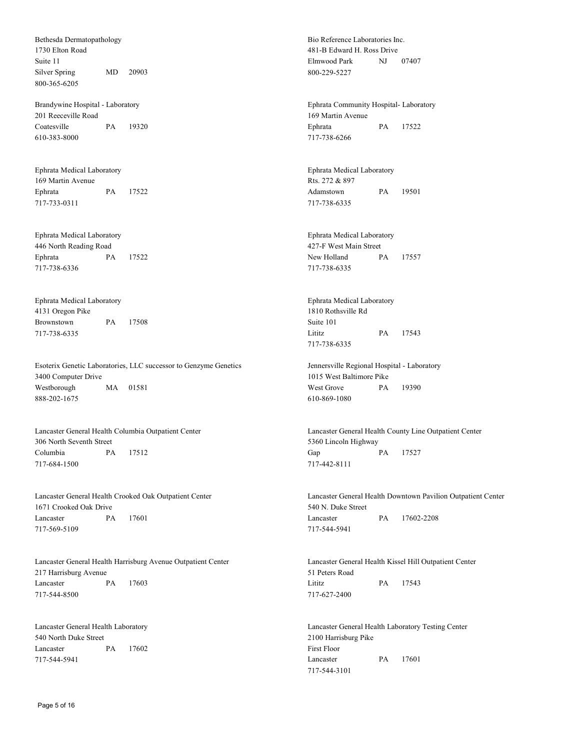Bethesda Dermatopathology 1730 Elton Road Suite 11 Silver Spring MD 20903 800-365-6205

Brandywine Hospital - Laboratory 201 Reeceville Road Coatesville PA 19320 610-383-8000

Ephrata Medical Laboratory 169 Martin Avenue Ephrata PA 17522 717-733-0311

Ephrata Medical Laboratory 446 North Reading Road Ephrata PA 17522 717-738-6336

Ephrata Medical Laboratory 4131 Oregon Pike Brownstown PA 17508 717-738-6335

Esoterix Genetic Laboratories, LLC successor to Genzyme Genetics 3400 Computer Drive Westborough MA 01581 888-202-1675

Lancaster General Health Columbia Outpatient Center 306 North Seventh Street Columbia PA 17512 717-684-1500

Lancaster General Health Crooked Oak Outpatient Center 1671 Crooked Oak Drive Lancaster PA 17601 717-569-5109

Lancaster General Health Harrisburg Avenue Outpatient Center 217 Harrisburg Avenue Lancaster PA 17603 717-544-8500

Lancaster General Health Laboratory 540 North Duke Street Lancaster PA 17602 717-544-5941

Bio Reference Laboratories Inc. 481-B Edward H. Ross Drive Elmwood Park NJ 07407 800-229-5227

Ephrata Community Hospital- Laboratory 169 Martin Avenue Ephrata PA 17522 717-738-6266

Ephrata Medical Laboratory Rts. 272 & 897 Adamstown PA 19501 717-738-6335

Ephrata Medical Laboratory 427-F West Main Street New Holland PA 17557 717-738-6335

Ephrata Medical Laboratory 1810 Rothsville Rd Suite 101 Lititz PA 17543 717-738-6335

Jennersville Regional Hospital - Laboratory 1015 West Baltimore Pike West Grove PA 19390 610-869-1080

Lancaster General Health County Line Outpatient Center 5360 Lincoln Highway Gap **PA** 17527 717-442-8111

Lancaster General Health Downtown Pavilion Outpatient Center 540 N. Duke Street Lancaster PA 17602-2208 717-544-5941

Lancaster General Health Kissel Hill Outpatient Center 51 Peters Road Lititz PA 17543 717-627-2400

Lancaster General Health Laboratory Testing Center 2100 Harrisburg Pike First Floor Lancaster PA 17601 717-544-3101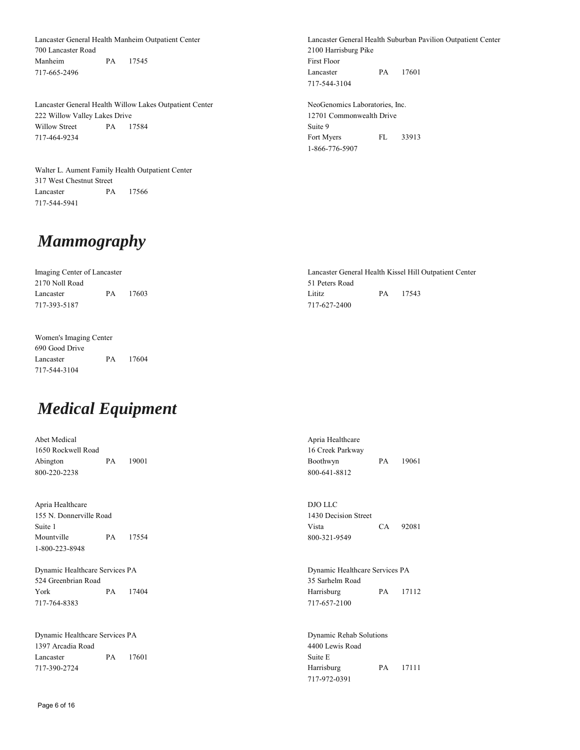Lancaster General Health Manheim Outpatient Center 700 Lancaster Road Manheim PA 17545 717-665-2496

Lancaster General Health Willow Lakes Outpatient Center 222 Willow Valley Lakes Drive Willow Street PA 17584 717-464-9234

Walter L. Aument Family Health Outpatient Center 317 West Chestnut Street Lancaster PA 17566 717-544-5941

*Mammography*

Imaging Center of Lancaster 2170 Noll Road Lancaster PA 17603 717-393-5187 Lancaster General Health Kissel Hill Outpatient Center 51 Peters Road Lititz PA 17543 717-627-2400

Women's Imaging Center 690 Good Drive Lancaster PA 17604 717-544-3104

## *Medical Equipment*

Abet Medical 1650 Rockwell Road Abington PA 19001 800-220-2238

Apria Healthcare 155 N. Donnerville Road Suite 1 Mountville PA 17554 1-800-223-8948

Dynamic Healthcare Services PA 524 Greenbrian Road York PA 17404 717-764-8383

Dynamic Healthcare Services PA 1397 Arcadia Road Lancaster PA 17601 717-390-2724

Boothwyn PA 19061 800-641-8812

DJO LLC 1430 Decision Street Vista CA 92081 800-321-9549

Dynamic Healthcare Services PA 35 Sarhelm Road Harrisburg PA 17112 717-657-2100

Dynamic Rehab Solutions 4400 Lewis Road Suite E Harrisburg PA 17111 717-972-0391

Lancaster General Health Suburban Pavilion Outpatient Center 2100 Harrisburg Pike First Floor Lancaster PA 17601 717-544-3104

NeoGenomics Laboratories, Inc. 12701 Commonwealth Drive Suite 9 Fort Myers FL 33913 1-866-776-5907

Apria Healthcare 16 Creek Parkway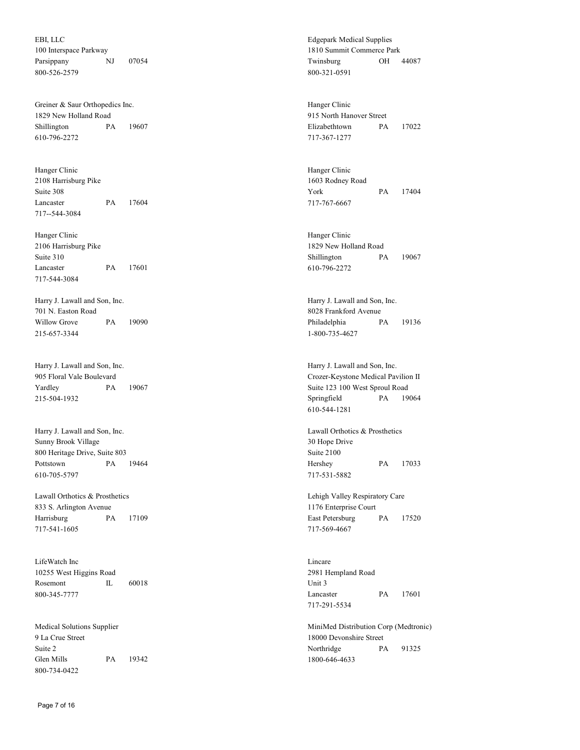EBI, LLC 100 Interspace Parkway Parsippany NJ 07054 800-526-2579

Greiner & Saur Orthopedics Inc. 1829 New Holland Road Shillington PA 19607 610-796-2272

Hanger Clinic 2108 Harrisburg Pike Suite 308 Lancaster PA 17604 717--544-3084

Hanger Clinic 2106 Harrisburg Pike Suite 310 Lancaster PA 17601 717-544-3084

Harry J. Lawall and Son, Inc. 701 N. Easton Road Willow Grove PA 19090 215-657-3344

Harry J. Lawall and Son, Inc. 905 Floral Vale Boulevard Yardley PA 19067 215-504-1932

Harry J. Lawall and Son, Inc. Sunny Brook Village 800 Heritage Drive, Suite 803 Pottstown PA 19464 610-705-5797

Lawall Orthotics & Prosthetics 833 S. Arlington Avenue Harrisburg PA 17109 717-541-1605

LifeWatch Inc 10255 West Higgins Road Rosemont IL 60018 800-345-7777

Medical Solutions Supplier 9 La Crue Street Suite 2 Glen Mills PA 19342 800-734-0422

Edgepark Medical Supplies 1810 Summit Commerce Park Twinsburg OH 44087 800-321-0591

Hanger Clinic 915 North Hanover Street Elizabethtown PA 17022 717-367-1277

Hanger Clinic 1603 Rodney Road York PA 17404 717-767-6667

Hanger Clinic 1829 New Holland Road Shillington PA 19067 610-796-2272

Harry J. Lawall and Son, Inc. 8028 Frankford Avenue Philadelphia PA 19136 1-800-735-4627

Harry J. Lawall and Son, Inc. Crozer-Keystone Medical Pavilion II Suite 123 100 West Sproul Road Springfield PA 19064 610-544-1281

Lawall Orthotics & Prosthetics 30 Hope Drive Suite 2100 Hershey PA 17033 717-531-5882

Lehigh Valley Respiratory Care 1176 Enterprise Court East Petersburg PA 17520 717-569-4667

Lincare 2981 Hempland Road Unit 3 Lancaster PA 17601 717-291-5534

MiniMed Distribution Corp (Medtronic) 18000 Devonshire Street Northridge PA 91325 1800-646-4633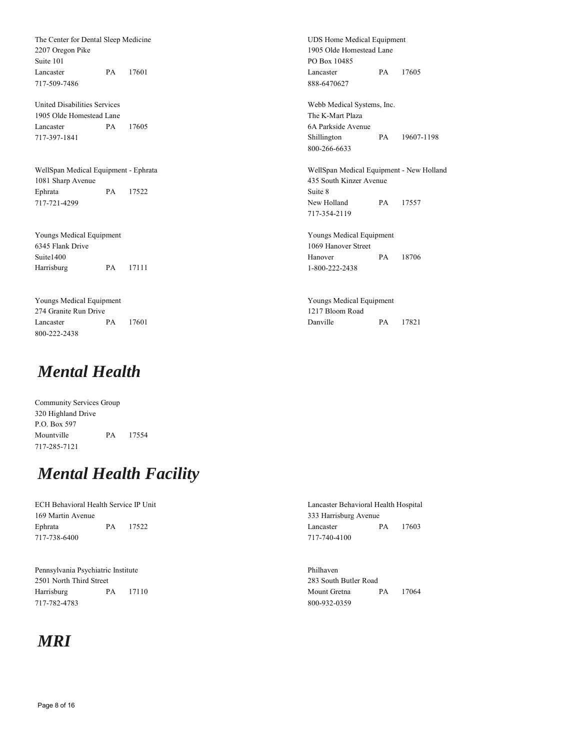The Center for Dental Sleep Medicine 2207 Oregon Pike Suite 101 Lancaster PA 17601 717-509-7486

United Disabilities Services 1905 Olde Homestead Lane Lancaster PA 17605 717-397-1841

WellSpan Medical Equipment - Ephrata 1081 Sharp Avenue Ephrata PA 17522 717-721-4299

Youngs Medical Equipment 6345 Flank Drive Suite1400 Harrisburg PA 17111

Youngs Medical Equipment 274 Granite Run Drive Lancaster PA 17601 800-222-2438

#### *Mental Health*

Community Services Group 320 Highland Drive P.O. Box 597 Mountville PA 17554 717-285-7121

## *Mental Health Facility*

ECH Behavioral Health Service IP Unit 169 Martin Avenue Ephrata PA 17522 717-738-6400

Pennsylvania Psychiatric Institute 2501 North Third Street Harrisburg PA 17110 717-782-4783

## *MRI*

UDS Home Medical Equipment 1905 Olde Homestead Lane PO Box 10485 Lancaster PA 17605 888-6470627

Webb Medical Systems, Inc. The K-Mart Plaza 6A Parkside Avenue Shillington PA 19607-1198 800-266-6633

WellSpan Medical Equipment - New Holland 435 South Kinzer Avenue Suite 8 New Holland PA 17557 717-354-2119

Youngs Medical Equipment 1069 Hanover Street Hanover PA 18706 1-800-222-2438

Youngs Medical Equipment 1217 Bloom Road Danville PA 17821

Lancaster Behavioral Health Hospital 333 Harrisburg Avenue Lancaster PA 17603 717-740-4100

Philhaven 283 South Butler Road Mount Gretna PA 17064 800-932-0359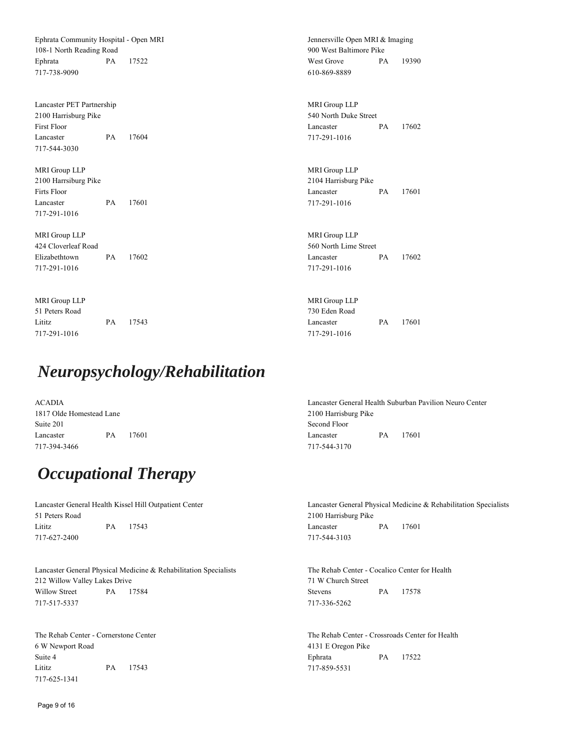Ephrata Community Hospital - Open MRI 108-1 North Reading Road Ephrata PA 17522 717-738-9090

Lancaster PET Partnership 2100 Harrisburg Pike First Floor Lancaster PA 17604 717-544-3030

MRI Group LLP 2100 Harrsiburg Pike Firts Floor Lancaster PA 17601 717-291-1016

MRI Group LLP 424 Cloverleaf Road Elizabethtown PA 17602 717-291-1016

MRI Group LLP 51 Peters Road Lititz PA 17543 717-291-1016

### *Neuropsychology/Rehabilitation*

ACADIA 1817 Olde Homestead Lane Suite 201 Lancaster PA 17601 717-394-3466

Jennersville Open MRI & Imaging 900 West Baltimore Pike West Grove PA 19390 610-869-8889

MRI Group LLP 540 North Duke Street Lancaster PA 17602 717-291-1016

MRI Group LLP 2104 Harrisburg Pike Lancaster PA 17601 717-291-1016

MRI Group LLP 560 North Lime Street Lancaster PA 17602 717-291-1016

MRI Group LLP 730 Eden Road Lancaster PA 17601 717-291-1016

Lancaster General Health Suburban Pavilion Neuro Center 2100 Harrisburg Pike Second Floor Lancaster PA 17601 717-544-3170

## *Occupational Therapy*

Lancaster General Health Kissel Hill Outpatient Center 51 Peters Road Lititz PA 17543 717-627-2400

Lancaster General Physical Medicine & Rehabilitation Specialists 212 Willow Valley Lakes Drive Willow Street PA 17584 717-517-5337

The Rehab Center - Cornerstone Center 6 W Newport Road Suite 4 Lititz PA 17543 717-625-1341

Lancaster General Physical Medicine & Rehabilitation Specialists 2100 Harrisburg Pike Lancaster PA 17601 717-544-3103

The Rehab Center - Cocalico Center for Health 71 W Church Street Stevens PA 17578 717-336-5262

The Rehab Center - Crossroads Center for Health 4131 E Oregon Pike Ephrata PA 17522 717-859-5531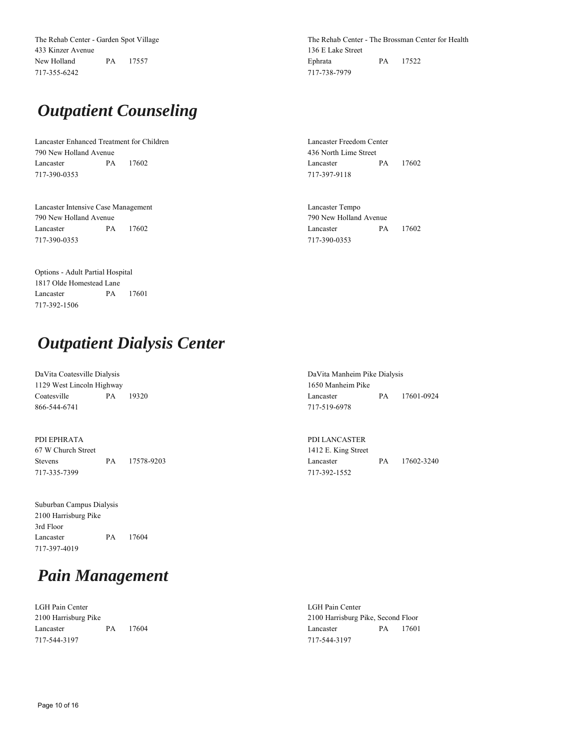The Rehab Center - Garden Spot Village 433 Kinzer Avenue New Holland PA 17557 717-355-6242

# *Outpatient Counseling*

Lancaster Enhanced Treatment for Children 790 New Holland Avenue Lancaster PA 17602 717-390-0353

Lancaster Intensive Case Management 790 New Holland Avenue Lancaster PA 17602 717-390-0353

The Rehab Center - The Brossman Center for Health 136 E Lake Street Ephrata PA 17522 717-738-7979

Lancaster Freedom Center 436 North Lime Street Lancaster PA 17602 717-397-9118

Lancaster Tempo 790 New Holland Avenue Lancaster PA 17602 717-390-0353

Options - Adult Partial Hospital 1817 Olde Homestead Lane Lancaster PA 17601 717-392-1506

## *Outpatient Dialysis Center*

| DaVita Coatesville Dialysis |    |       |  |  |  |
|-----------------------------|----|-------|--|--|--|
| 1129 West Lincoln Highway   |    |       |  |  |  |
| Coatesville                 | PA | 19320 |  |  |  |
| 866-544-6741                |    |       |  |  |  |

PDI EPHRATA 67 W Church Street Stevens PA 17578-9203 717-335-7399

| Suburban Campus Dialysis |          |
|--------------------------|----------|
| 2100 Harrisburg Pike     |          |
| 3rd Floor                |          |
| Lancaster                | PA 17604 |
| 717-397-4019             |          |

## *Pain Management*

LGH Pain Center 2100 Harrisburg Pike Lancaster PA 17604 717-544-3197

DaVita Manheim Pike Dialysis 1650 Manheim Pike Lancaster PA 17601-0924 717-519-6978

PDI LANCASTER 1412 E. King Street Lancaster PA 17602-3240 717-392-1552

LGH Pain Center 2100 Harrisburg Pike, Second Floor Lancaster PA 17601 717-544-3197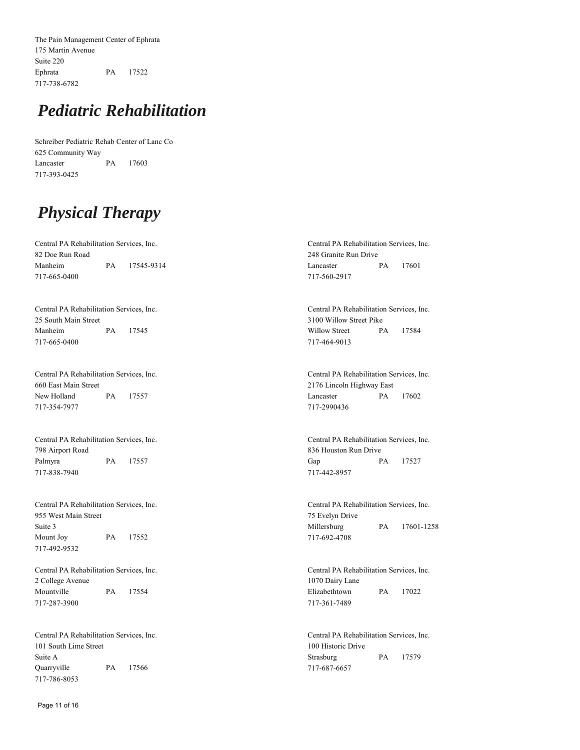The Pain Management Center of Ephrata 175 Martin Avenue Suite 220 Ephrata PA 17522 717-738-6782

### *Pediatric Rehabilitation*

Schreiber Pediatric Rehab Center of Lanc Co 625 Community Way Lancaster PA 17603 717-393-0425

# *Physical Therapy*

Central PA Rehabilitation Services, Inc. 82 Doe Run Road Manheim PA 17545-9314 717-665-0400

Central PA Rehabilitation Services, Inc. 25 South Main Street Manheim PA 17545 717-665-0400

Central PA Rehabilitation Services, Inc. 660 East Main Street New Holland PA 17557 717-354-7977

Central PA Rehabilitation Services, Inc. 798 Airport Road Palmyra PA 17557 717-838-7940

Central PA Rehabilitation Services, Inc. 955 West Main Street Suite 3 Mount Joy PA 17552 717-492-9532

Central PA Rehabilitation Services, Inc. 2 College Avenue Mountville PA 17554 717-287-3900

Central PA Rehabilitation Services, Inc. 101 South Lime Street Suite A Quarryville PA 17566 717-786-8053

Central PA Rehabilitation Services, Inc. 248 Granite Run Drive Lancaster PA 17601 717-560-2917

Central PA Rehabilitation Services, Inc. 3100 Willow Street Pike Willow Street PA 17584 717-464-9013

Central PA Rehabilitation Services, Inc. 2176 Lincoln Highway East Lancaster PA 17602 717-2990436

Central PA Rehabilitation Services, Inc. 836 Houston Run Drive Gap PA 17527 717-442-8957

Central PA Rehabilitation Services, Inc. 75 Evelyn Drive Millersburg PA 17601-1258 717-692-4708

Central PA Rehabilitation Services, Inc. 1070 Dairy Lane Elizabethtown PA 17022 717-361-7489

Central PA Rehabilitation Services, Inc. 100 Historic Drive Strasburg PA 17579 717-687-6657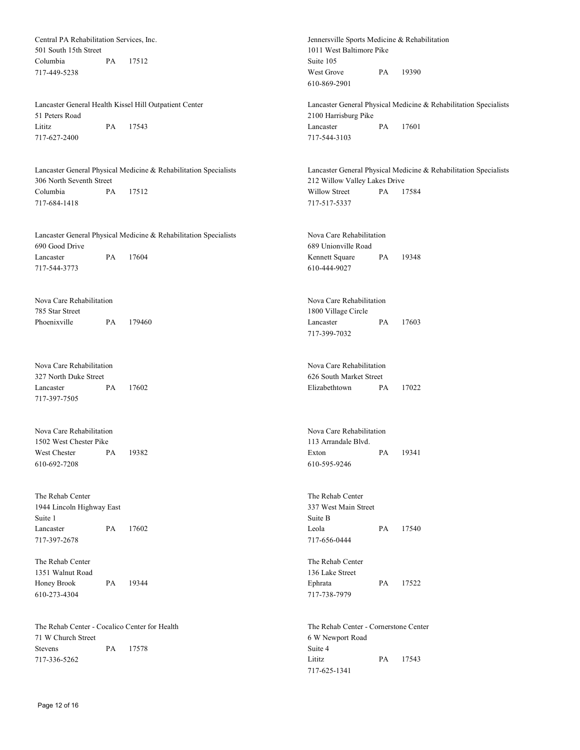Central PA Rehabilitation Services, Inc. 501 South 15th Street Columbia PA 17512 717-449-5238 Jennersville Sports Medicine & Rehabilitation 1011 West Baltimore Pike Suite 105 West Grove PA 19390 610-869-2901 Lancaster General Health Kissel Hill Outpatient Center 51 Peters Road Lititz PA 17543 717-627-2400 Lancaster General Physical Medicine & Rehabilitation Specialists 2100 Harrisburg Pike Lancaster PA 17601 717-544-3103 Lancaster General Physical Medicine & Rehabilitation Specialists 306 North Seventh Street Columbia PA 17512 717-684-1418 Lancaster General Physical Medicine & Rehabilitation Specialists 212 Willow Valley Lakes Drive Willow Street PA 17584 717-517-5337 Lancaster General Physical Medicine & Rehabilitation Specialists 690 Good Drive Lancaster PA 17604 717-544-3773 Nova Care Rehabilitation 689 Unionville Road Kennett Square PA 19348 610-444-9027 Nova Care Rehabilitation 785 Star Street Phoenixville PA 179460 Nova Care Rehabilitation 1800 Village Circle Lancaster PA 17603 717-399-7032 Nova Care Rehabilitation 327 North Duke Street Lancaster PA 17602 717-397-7505 Nova Care Rehabilitation 626 South Market Street Elizabethtown PA 17022 Nova Care Rehabilitation 1502 West Chester Pike West Chester PA 19382 610-692-7208 Nova Care Rehabilitation 113 Arrandale Blvd. Exton PA 19341 610-595-9246 The Rehab Center 1944 Lincoln Highway East Suite 1 Lancaster PA 17602 717-397-2678 The Rehab Center 337 West Main Street Suite B Leola PA 17540 717-656-0444 The Rehab Center 1351 Walnut Road Honey Brook PA 19344 610-273-4304 The Rehab Center 136 Lake Street Ephrata PA 17522 717-738-7979 The Rehab Center - Cocalico Center for Health 71 W Church Street Stevens PA 17578 717-336-5262 The Rehab Center - Cornerstone Center 6 W Newport Road Suite 4 Lititz PA 17543

717-625-1341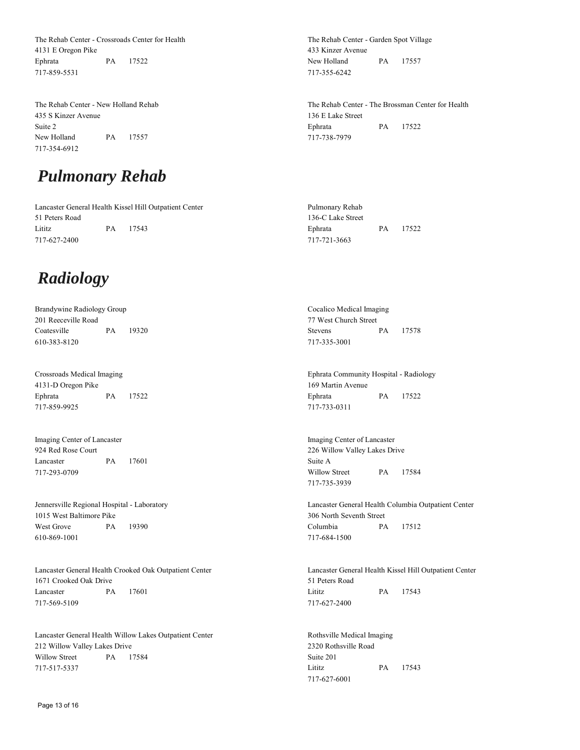The Rehab Center - Crossroads Center for Health 4131 E Oregon Pike Ephrata PA 17522 717-859-5531

The Rehab Center - New Holland Rehab 435 S Kinzer Avenue Suite 2 New Holland PA 17557 717-354-6912

### *Pulmonary Rehab*

Lancaster General Health Kissel Hill Outpatient Center 51 Peters Road Lititz PA 17543 717-627-2400

#### *Radiology*

Brandywine Radiology Group 201 Reeceville Road Coatesville PA 19320 610-383-8120

Crossroads Medical Imaging 4131-D Oregon Pike Ephrata PA 17522 717-859-9925

Imaging Center of Lancaster 924 Red Rose Court Lancaster PA 17601 717-293-0709

Jennersville Regional Hospital - Laboratory 1015 West Baltimore Pike West Grove PA 19390 610-869-1001

Lancaster General Health Crooked Oak Outpatient Center 1671 Crooked Oak Drive Lancaster PA 17601 717-569-5109

Lancaster General Health Willow Lakes Outpatient Center 212 Willow Valley Lakes Drive Willow Street PA 17584 717-517-5337

The Rehab Center - Garden Spot Village 433 Kinzer Avenue New Holland PA 17557 717-355-6242

The Rehab Center - The Brossman Center for Health 136 E Lake Street Ephrata PA 17522 717-738-7979

Pulmonary Rehab 136-C Lake Street Ephrata PA 17522 717-721-3663

Cocalico Medical Imaging 77 West Church Street Stevens PA 17578 717-335-3001

Ephrata Community Hospital - Radiology 169 Martin Avenue Ephrata PA 17522 717-733-0311

Imaging Center of Lancaster 226 Willow Valley Lakes Drive Suite A Willow Street PA 17584 717-735-3939

Lancaster General Health Columbia Outpatient Center 306 North Seventh Street Columbia PA 17512 717-684-1500

Lancaster General Health Kissel Hill Outpatient Center 51 Peters Road Lititz PA 17543 717-627-2400

Rothsville Medical Imaging 2320 Rothsville Road Suite 201 Lititz PA 17543 717-627-6001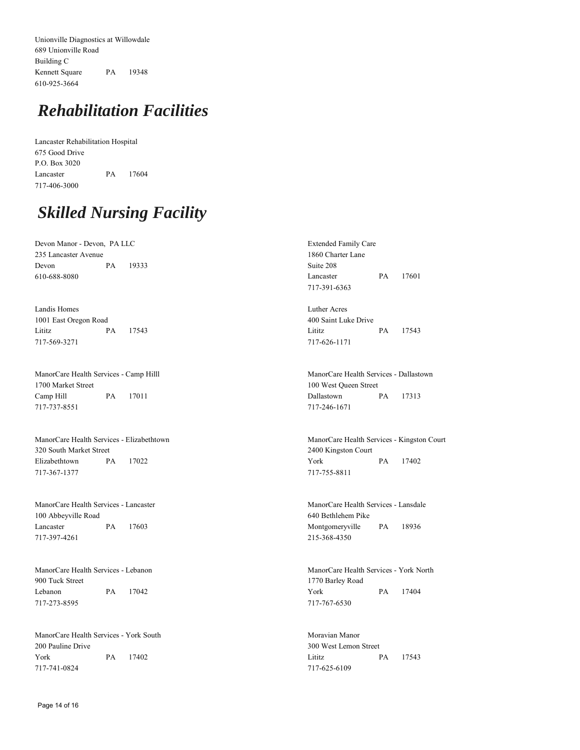Unionville Diagnostics at Willowdale 689 Unionville Road Building C Kennett Square PA 19348 610-925-3664

### *Rehabilitation Facilities*

Lancaster Rehabilitation Hospital 675 Good Drive P.O. Box 3020 Lancaster PA 17604 717-406-3000

### *Skilled Nursing Facility*

Devon Manor - Devon, PA LLC 235 Lancaster Avenue Devon PA 19333 610-688-8080

Landis Homes 1001 East Oregon Road Lititz PA 17543 717-569-3271

ManorCare Health Services - Camp Hilll 1700 Market Street Camp Hill PA 17011 717-737-8551

ManorCare Health Services - Elizabethtown 320 South Market Street Elizabethtown PA 17022 717-367-1377

ManorCare Health Services - Lancaster 100 Abbeyville Road Lancaster PA 17603 717-397-4261

ManorCare Health Services - Lebanon 900 Tuck Street Lebanon PA 17042 717-273-8595

ManorCare Health Services - York South 200 Pauline Drive York PA 17402 717-741-0824

Extended Family Care 1860 Charter Lane Suite 208 Lancaster PA 17601 717-391-6363

Luther Acres 400 Saint Luke Drive Lititz PA 17543 717-626-1171

ManorCare Health Services - Dallastown 100 West Queen Street Dallastown PA 17313 717-246-1671

ManorCare Health Services - Kingston Court 2400 Kingston Court York PA 17402 717-755-8811

ManorCare Health Services - Lansdale 640 Bethlehem Pike Montgomeryville PA 18936 215-368-4350

ManorCare Health Services - York North 1770 Barley Road York PA 17404 717-767-6530

Moravian Manor 300 West Lemon Street Lititz PA 17543 717-625-6109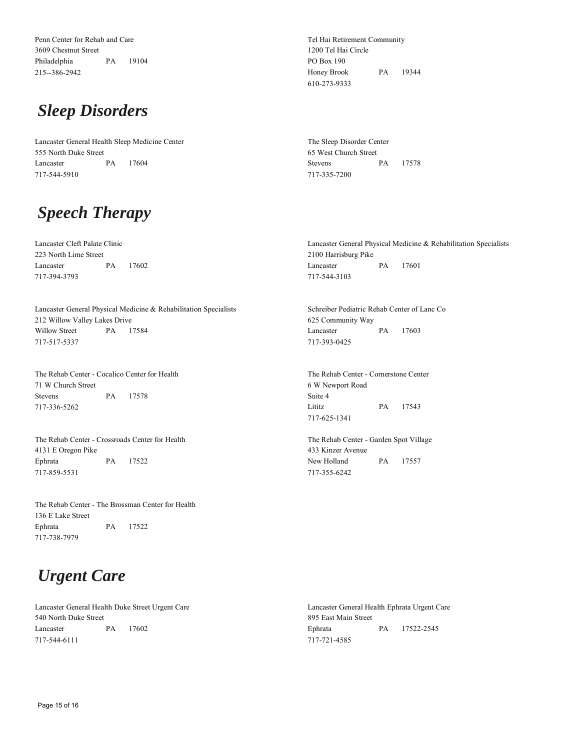Penn Center for Rehab and Care 3609 Chestnut Street Philadelphia PA 19104 215--386-2942

### *Sleep Disorders*

Lancaster General Health Sleep Medicine Center 555 North Duke Street Lancaster PA 17604 717-544-5910

# *Speech Therapy*

Lancaster Cleft Palate Clinic 223 North Lime Street Lancaster PA 17602 717-394-3793

Lancaster General Physical Medicine & Rehabilitation Specialists 212 Willow Valley Lakes Drive Willow Street PA 17584 717-517-5337

The Rehab Center - Cocalico Center for Health 71 W Church Street Stevens PA 17578 717-336-5262

The Rehab Center - Crossroads Center for Health 4131 E Oregon Pike Ephrata PA 17522 717-859-5531

The Rehab Center - The Brossman Center for Health 136 E Lake Street Ephrata PA 17522 717-738-7979

## *Urgent Care*

Lancaster General Health Duke Street Urgent Care 540 North Duke Street Lancaster PA 17602 717-544-6111

Tel Hai Retirement Community 1200 Tel Hai Circle PO Box 190 Honey Brook PA 19344 610-273-9333

The Sleep Disorder Center 65 West Church Street Stevens PA 17578 717-335-7200

Lancaster General Physical Medicine & Rehabilitation Specialists 2100 Harrisburg Pike Lancaster PA 17601 717-544-3103

Schreiber Pediatric Rehab Center of Lanc Co 625 Community Way Lancaster PA 17603 717-393-0425

The Rehab Center - Cornerstone Center 6 W Newport Road Suite 4 Lititz PA 17543 717-625-1341

The Rehab Center - Garden Spot Village 433 Kinzer Avenue New Holland PA 17557 717-355-6242

Lancaster General Health Ephrata Urgent Care 895 East Main Street Ephrata PA 17522-2545 717-721-4585